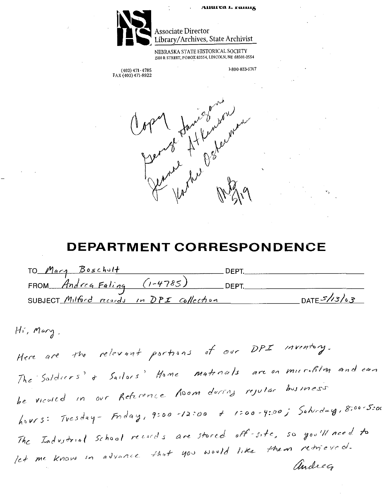

# **(41111** Associate Director Library/Archives, State Archivist

NEBRASKA STATE HISTORICAL SOCIETY 1500 RSTREET, PO BOX 82554, LINCOLN, NE 68501-2554

(402)471-4785 1-800-833-6747 FAX (402) 471-8922

opent formed worker

# **DEPARTMENT CORRESPONDENCE**

| TO Mary Boschult                          |              | דפ⊐ת        |              |
|-------------------------------------------|--------------|-------------|--------------|
| FROM Andrea Faling                        | $(1 - 4785)$ | <b>DEPT</b> |              |
| SUBJECT Milford records in DPI collection |              |             | DATE $5/3/3$ |

 $Hr$ , Mary.

inventory. the relevant partiens of our DPI Here are are on murchlen and can The Soldiers' + Sailors' Home materials are on microfiles<br>be viewed in our Reference Room during rejular business Tresday- Friday, 9:00-12:00 + 1:00-4:00; Saturday, 8:00-5:00  $h \vee r s$ : are stored off site, so you'll need to let me know in advance that you would like them retrieved. andreg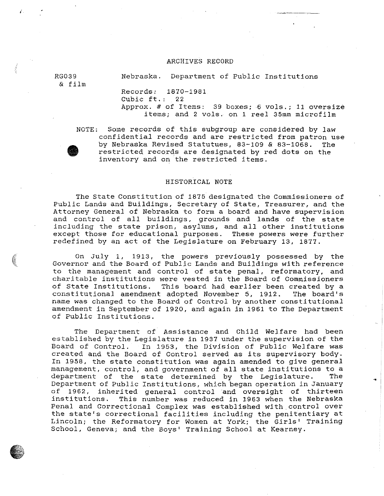#### ARCHIVES RECORD

RG039 & film

i

 $\bigcirc$ . ' Nebraska. Department of Public Institutions

Records: 1870-1981

Cubic ft.: 22 Approx.# of Items: 39 boxes; 6 vols.; 11 oversize items; and 2 vols. on 1 reel 35mm microfilm

**•** NOTE: Some records of this subgroup are considered by law confidential records and are restricted from patron use<br>by Nebraska Revised Statutues, 83-109 & 83-1068. The by Nebraska Revised Statutues, 83-109 & 83-1068. restricted records are designated by red dots on the inventory and on the restricted items.

#### HISTORICAL NOTE

The State Constitution of 1875 designated the Commissioners of Public Lands and Buildings, Secretary of State, Treasurer, and the Attorney General of Nebraska to form a board and have supervision and control of all buildings, grounds and lands of the state including the state prison, asylums, and all other institutions except those for educational purposes. These powers were further redefined by an act of the Legislature on February 13, 1877.

On July 1, 1913, the powers previously possessed by the Governor and the Board of Public Lands and Buildings with reference to the management and control of state penal, reformatory, and charitable institutions were vested in the Board of Commissioners of State Institutions. This board had earlier been created by a<br>constitutional amendment adopted November 5, 1912. The board's constitutional amendment adopted November 5, 1912. name was changed to the Board of Control by another constitutional amendment in September of 1920, and again in 1961 to The Department of Public Institutions.

The Department of Assistance and Child Welfare had been established by the Legislature in 1937 under the supervision of the<br>Board of Control. In 1953, the Division of Public Welfare was In 1953, the Division of Public Welfare was created and the Board of Control served as its supervisory body. In 1958, the state constitution was again amended to give general management, control, and government of all state institutions to a<br>department of the state determined by the Legislature. The department of the state determined by the Legislature. Department of Public Institutions, which began operation in January of 1962, inherited general control and oversight of thirteen<br>institutions. This number was reduced in 1963 when the Nebraska This number was reduced in 1963 when the Nebraska Penal and Correctional Complex was established with control over the state's correctional facilities including the penitentiary at Lincoln; the Reformatory for Women at York; the Girls' Training School, Geneva; and the Boys' Training School at Kearney .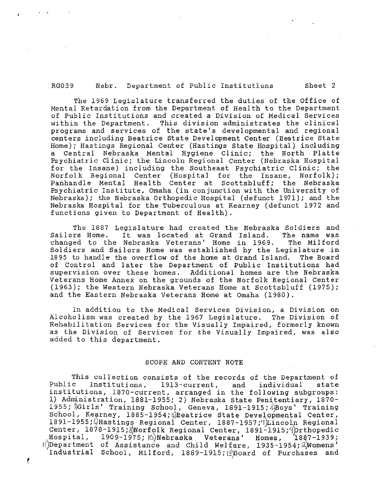#### RG039 Nebr. Department of Public Institutions Sheet 2

The 1969 Legislature transferred the duties of the Office of Mental Retardation from the Department of Health to the Department of Public Institutions and created a Division of Medical Services<br>within the Department. This division administrates the clinical This division administrates the clinical programs and services of the state's developmental and regional centers including Beatrice State Development Center (Beatrice State Home); Hastings Regional Center (Hastings State Hospital) including a Central Nebraska Mental Hygiene Clinic; the North Platte Psychiatric Clinic; the Lincoln Regional Center (Nebraska Hospital for the Insane) including the Southeast Psychiatric Clinic; the Norfolk Regional Center (Hospital for the Insane, Norfolk); Panhandle Mental Health Center at Scottsbluff; the Nebraska Psychiatric Institute, Omaha (in conjunction with the University of Nebraska); the Nebraska Orthopedic Hospital (defunct 1971); and the Nebraska Hospital for the Tuberculous at Kearney {defunct 1972 and functions given to Department of Health).

The 1887 Legislature had created the Nebraska Soldiers and<br>Sailors Home. It was located at Grand Island. The name was It was located at Grand Island. The name was<br>Nebraska Veterans' Home in 1969. The Milford changed to the Nebraska Veterans' Home in 1969. Soldiers and Sailors Home was established by the Legislature in 1895 to handle the overflow of the home at Grand Island. The Board of Control and later the Department of Public Institutions had supervision over these homes. Additional homes are the Nebraska Veterans Home Annex on the grounds of the Norfolk Regional Center (1963); the Western Nebraska Veterans Home at Scottsbluff (1975); and the Eastern Nebraska Veterans Home at Omaha (1980).

In addition to the Medical Services Division, a Division on Alcoholism was created by the 1967 Legislature. The Division of Rehabilitation Services for the Visually Impaired, formerly known as the Division of Services for the Visually Impaired, was also added to this department.

#### SCOPE AND CONTENT NOTE

This collection consists of the records of the Department of<br>Public Institutions, 1913-current, and individual state Institutions, 1913-current, and institutions, 1870-current, arranged in the following subgroups: 1) Administration, 1881-1955; 2) Nebraska State Penitentiary, 1870  $1955$ ;  $3$ Girls' Training School, Geneva, 1891-1915;  $4$ Boys' Training School, Kearney, 1885-1954; SBeatrice State Developmental Center, 1891-1955; $\mu$ Hastings Regional Center, 1887-1957;7)Lincoln Regional Center, 1878-1915; Norfolk Regional Center, 1891-1915; Aprthopedic<br>Hospital, 1909-1975; ONebraska Veterans' Homes, 1887-1939; Hospital, 1909-1975; ANNebraska Veterans' Homes,  $\exists$  | Department of Assistance and Child Welfare, 1935-1954; $\lambda$ Womens' Industrial School, Milford, 1889-1915;13)Board of Purchases and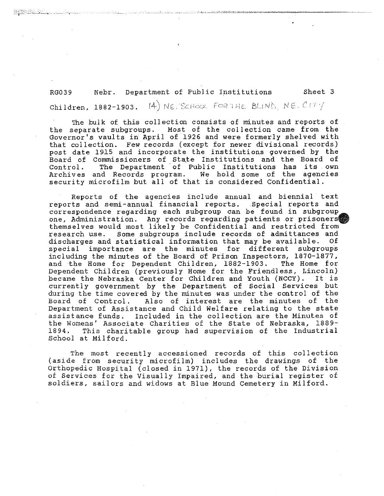RG039 Nebr. Department of Public Institutions Sheet 3  $Chi1$ dren, 1882-1903. <sup>(4)</sup> NE. SCHOOL FORTHE BLING, NE.  $C$ 17 $\frac{1}{2}$ 

The bulk of this collection consists of minutes and reports of the separate subgroups. Most of the collection came from the Governor's vaults in April of 1926 and were formerly shelved with that collection. Few records (except for newer divisional records) post date 1915 and incorporate the institutions governed by the Board of Commissioners of State Institutions and the Board of Control. The Department of Public Institutions has its own Archives and Records program. We hold some of the agencies security microfilm but all of that is considered Confidential.

Reports of the agencies include annual and biennial text reports and semi-annual financial reports. Special reports and correspondence regarding each subgroup can be found in subgroup one, Administration. Any records regarding patients or prisoners themselves would most likely be Confidential and restricted from<br>research use. Some subgroups include records of admittances and Some subgroups include records of admittances and discharges and statistical information that may be available. Of special importance are the minutes for different subgroups including the minutes of the Board of Prison Inspectors, 1870-1877, and the Home for Dependent Children, 1882-1903. The Home for Dependent Children (previously Home for the Friendless, Lincoln) became the Nebraska Center for Children and Youth (NCCY). It is currently government by the Department of Social Services but during the time covered by the minutes was under the control of the<br>Board of Control. Also of interest are the minutes of the Also of interest are the minutes of the Department of Assistance and Child Welfare relating to the state assistance funds. Included in the collection are the Minutes of the Womens' Associate Charities of the State of Nebraska, 1889-<br>1894. This charitable group had supervision of the Industrial This charitable group had supervision of the Industrial School at Milford. **t** 

The most recently accessioned records of this collection (aside from security microfilm) includes the drawings of the Orthopedic Hospital (closed in 1971), the records of the Division of Services for the Visually Impaired, and the burial register of soldiers, sailors and widows at Blue Mound Cemetery in Milford.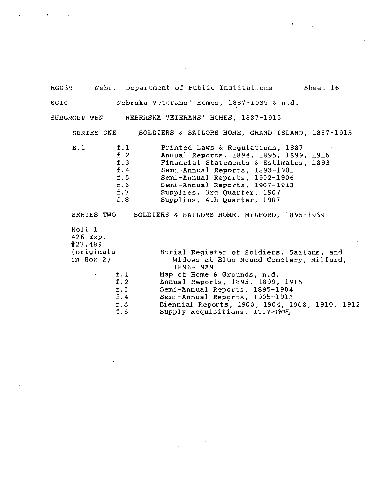RG039 Nebr. Department of Public Institutions Sheet 16 SGlO Nebraka Veterans' Homes, 1887-1939 & n.d. SUBGROUP TEN NEBRASKA VETERANS' HOMES, 1887-1915

SERIES ONE SOLDIERS & SAILORS HOME, GRAND ISLAND, 1887-1915

| B.1 | f.1 | Printed Laws & Regulations, 1887       |
|-----|-----|----------------------------------------|
|     | f.2 | Annual Reports, 1894, 1895, 1899, 1915 |
|     | f.3 | Financial Statements & Estimates, 1893 |
|     | f.4 | Semi-Annual Reports, 1893-1901         |
|     | f.5 | Semi-Annual Reports, 1902-1906         |
|     | f.6 | Semi-Annual Reports, 1907-1913         |
|     | f.7 | Supplies, 3rd Quarter, 1907            |
|     | f.8 | Supplies, 4th Quarter, 1907            |
|     |     |                                        |

SERIES TWO SOLDIERS & SAILORS HOME, MILFORD, 1895-1939 Roll l 426 Exp. #27,489 (originals in Box 2) Burial Register of Soldiers, Sailors, and Widows at Blue Mound Cemetery, Milford, 1896-1939 f.l Map of Home & Grounds, n.d.<br>f.2 Annual Reports, 1895, 1899, f.2 Annual Reports, 1895, 1899, 1915 f.3 Semi-Annual Reports, 1895-1904 f.4 Semi-Annual Reports, 1905-1913 f.5 Biennial Reports, 1900, 1904, 1908, 1910, 1912<br>f.6 Supply Requisitions, 1907-1908 Supply Requisitions, 1907-1908;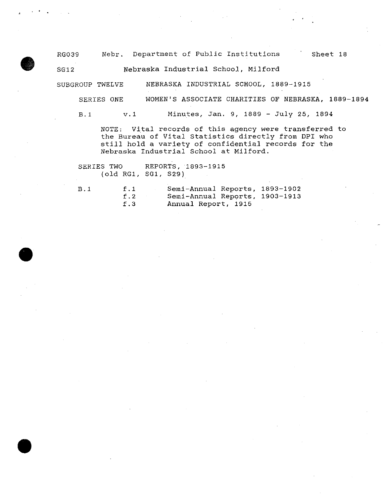RG039 Nebr. Department of Public Institutions Sheet 18

SG12 Nebraska Industrial School, Milford

SUBGROUP TWELVE NEBRASKA INDUSTRIAL SCHOOL, 1889-1915

SERIES ONE WOMEN'S ASSOCIATE CHARITIES OF NEBRASKA, 1889-1894

B. 1 v. 1 Minutes, Jan. 9, 1889 - July 25, 1894

NOTE: Vital records of this agency were transferred to the Bureau of Vital Statistics directly from DPI who still hold a variety of confidential records for the Nebraska Industrial School at Milford.

SERIES TWO REPORTS, 1893-1915 (old RGl, SG1, S29)

•

•

•

B.1 f.1 Semi-Annual Reports, 1893-1902<br>f.2 Semi-Annual Reports, 1903-1913 f.2 Semi-Annual Reports, 1903-1913 f.3 Annual Report, 1915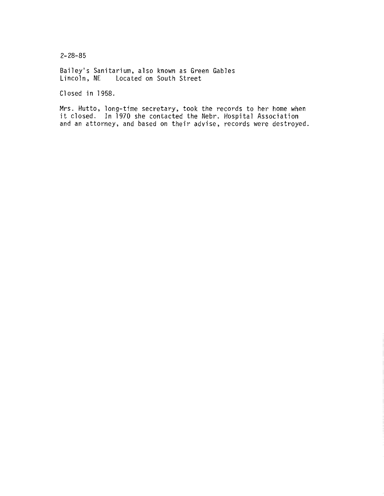2-28-85

Bailey's Sanitarium, also known as Green Gables Lincoln, NE Located on South Street

Closed in 1958.

Mrs. Hutto, long-time secretary, took the records to her home when it closed. In 1970 she contacted the Nebr. Hospital Association and an attorney, and based on their advise, records were destroyed.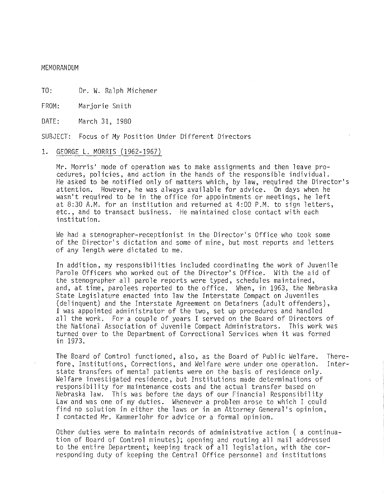MEMORANDUM

TO: Dr. W. Ralph Michener

FROM: Marjorie Smith

DATE: March 31, 1980

SUBJECT: Focus of My Position Under Different Directors

## 1. GEORGE L. MORRIS (1962-1967)

Mr. Morris' mode of operation was to make assignments and then leave pro cedures, policies, and action in the hands of the responsible individual. He asked to be notified only of matters which, by law, required the Director's attention. However, he was always available for advice. On days when he wasn't required to be in the office for appointments or meetings, he left at 8:30 A.M. for an institution and returned at 4:00 P.M. to sign letters, etc., and to transact business. He maintained close contact with each institution.

We had a stenographer-receptionist in the Director's Office who took some of the Director's dictation and some of mine, but most reports and letters of any length were dictated to me.

In addition, my responsibilities included coordinating the work of Juvenile Parole Officers who worked out of the Director's Office. With the aid of the stenographer all parole reports were typed, schedules maintained, and, at time, parolees reported to the office. When, in 1963, the Nebraska State Legislature enacted into law the Interstate Compact on Juveniles (delinquent) and the Interstate Agreement on Detainers (adult offenders), I was appointed administrator of the two, set up procedures and handled all the work. For a couple of years I served on the Board of Directors of the National Association of Juvenile Compact Administrators. This work was turned over to the Department of Correctional Services when it was formed in 1973.

The Board of Control functioned, also, as the Board of Public Welfare. There-<br>fore, Institutions, Corrections, and Welfare were under one operation. Interfore, Institutions, Corrections, and Welfare were under one operation. state transfers of mental patients were on the basis of residence only. Welfare investigated residence, but Institutions made determinations of responsibility for maintenance costs and the actual transfer based on Nebraska law. This was before the days of our Financial Responsibility Law and was one of my duties. Whenever a problem arose to which I could find no solution in either the laws or in an Attorney General's opinion, I contacted Mr. Kammerlohr for advice or a formal opinion.

Other duties were to maintain records of administrative action ( a continua tion of Board of Control minutes); opening and routing all mail addressed to the entire Department; keeping track of all legislation, with the cor responding duty of keeping the Central Office personnel and institutions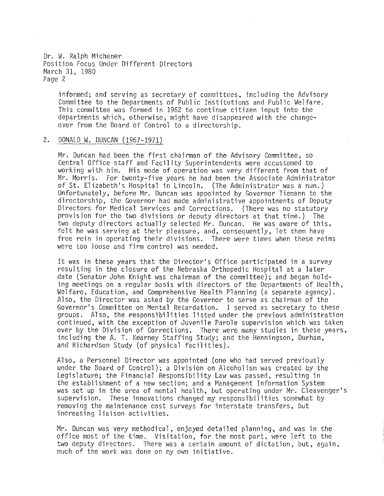Dr. W. Ralph Michener Position Focus Under Different Directors March 31, 1980 Page 2

informed; and serving as secretary of committees, including the Advisory Committee to the Departments of Public Institutions and Public Welfare. This committee was formed in 1962 to continue citizen input into the departments which, otherwise, might have disappeared with the changeover from the Board of Control to a directorship.

#### 2. DONALD W. DUNCAN (1967-1971)

Mr. Duncan had been the first chairman of the Advisory Committee, so Central Office staff and Facility Superintendents were accustomed to working with him. His mode of operation was very different from that of Mr. Morris. For twenty-five years he had been the Associate Administrator of St. Elizabeth's Hospital in Lincoln. (The Administrator was a nun.) Unfortunately, before Mr. Duncan was appointed by Governor Tiemann to the directorship, the Governor had made administrative appointments of Deputy Directors for Medical Services and Corrections. (There was no statutory provision for the two divisions or deputy directors at that time.) The two deputy directors actually selected Mr. Duncan. He was aware of this, felt he was serving at their pleasure, and, consequently, let them have free rein in operating their divisions. There were times when these reins were too loose and firm control was needed.

It was in these years that the Director's Office participated in a survey resulting in the closure of the Nebraska Orthopedic Hospital at a later date (Senator John Knight was chairman of the committee); and began holding meetings on a regular basis with directors of the Departments of Health, Welfare, Education, and Comprehensive Health Planning (a separate agency). Also, the Director was asked by the Governor to serve as chairman of the Governor's Committee on Mental Retardation. I served as secretary to these groups. Also, the responsibilities listed under the previous administration continued, with the exception of Juvenile Parole supervision which was taken over by the Division of Corrections. There were many studies in these years, including the A. T. Kearney Staffing Study; and the Henningson, Durham, and Richardson Study (of physical facilities).

Also, a Personnel Director was appointed (one who had served previously under the Board of Control); a Division on Alcoholism was created by the Legislature; the Financial Responsibility Law was passed, resulting in the establishment of a new section; and a Management Information System was set up in the area of mental health, but operating under Mr. Cleavenger's supervision. These innovations changed my responsibilities somewhat by removing the maintenance cost surveys for interstate transfers, but increasing liaison activities.

Mr. Duncan was very methodical, enjoyed detailed planning, and was in the office most of the time. Visitation, for the most part, were left to the two deputy directors. There was a certain amount of dictation, but, again, much of the work was done on my own initiative.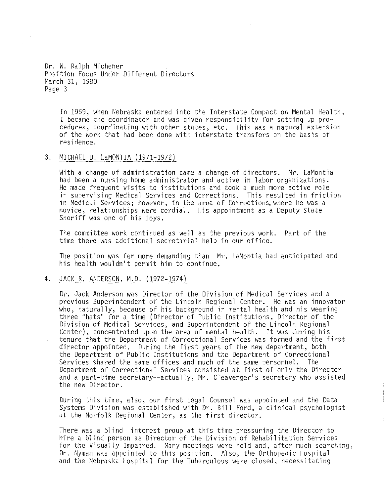Dr. W. Ralph Michener Position Focus Under Different Directors March 31, 1980 Page 3

In 1969, when Nebraska entered into the Interstate Compact on Mental Health, I became the coordinator and was given responsibility for setting up procedures, coordinating with other states, etc. This was a natural extension of the work that had been done with interstate transfers on the basis of residence.

# 3. MICHAEL D. LaMONTIA (1971-1972)

With a change of administration came a change of directors. Mr. LaMontia had been a nursing home administrator and active in labor organizations. He made frequent visits to institutions and took a much more active role in supervising Medical Services and Corrections. This resulted in friction in Medical Services; however, in the area of Corrections, where he was a novice, relationships were cordial. His appointment as a Deputy State Sheriff was one of his joys.

The committee work continued as well as the previous work. Part of the time there was additional secretarial help in our office.

The position was far more demanding than Mr. LaMontia had anticipated and his health wouldn't permit him to continue.

## 4. JACK R. ANDERSON, M.D. (1972-1974)

Dr. Jack Anderson was Director of the Division of Medical Services and a previous Superintendent of the Lincoln Regional Center. He was an innovator who, naturally, because of his background in mental health and his wearing three "hats" for a time (Director of Public Institutions, Director of the Division of Medical Services, and Superintendent of the Lincoln Regional Center), concentrated upon the area of mental health. It was during his tenure that the Department of Correctional Services was formed and the first director appointed. During the first years of the new department, both the Department of Public Institutions and the Department of Correctional Services shared the same offices and much of the same personnel. The Department of Correctional Services consisted at first of only the Director and a part-time secretary--actually, Mr. Cleavenger's secretary who assisted the new Director.

During this time, also, our first Legal Counsel was appointed and the Data Systems Division was established with Dr. Bill Ford, a clinical psychologist at the Norfolk Regional Center, as the first director.

There was a blind interest group at this time pressuring the Director to hire a blind person as Director of the Division of Rehabilitation Services for the Visually Impaired. Many meetings were held and, after much searching, Dr. Nyman was appointed to this position. Also, the Orthopedic Hospital and the Nebraska flospital for the Tuberculous were closed, necessitating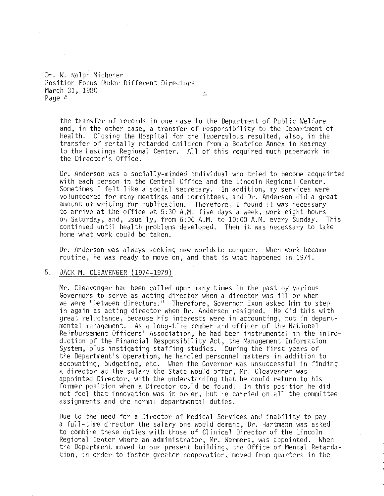Dr. W. Ralph Michener Position Focus Under Different Directors March 31, 1980 鑫 Page 4

the transfer of records in one case to the Department of Public Welfare and, in the other case, a transfer of responsibility to the Department of Health. Closing the Hospital for the Tuberculous resulted, also, in the transfer of mentally retarded children from a Beatrice Annex in Kearney to the Hastings Regional Center. All of this required much paperwork in the Director's Office.

Dr. Anderson was a socially-minded individual who tried to become acquainted with each person in the Central Office and the Lincoln Regional Center. Sometimes I felt like a social secretary. In addition, my services were volunteered for many meetings and committees, and Dr. Anderson did a great amount of writing for publication. Therefore, I found it was necessary to arrive at the office at 5:30 A.M. five days a week, work eight hours on Saturday, and, usually, from 6:00 A.M. to 10:00 A.M. every Sunday. This continued until health problems developed. Then it was necessary to take home what work could be taken.

Dr. Anderson was always seeking new worlds to conquer. When work became routine, he was ready to move on, and that is what happened in 1974.

# 5. JACK M. CLEAVENGER (1974-1979)

Mr. Cleavenger had been called upon many times in the past by various Governors to serve as acting director when a director was ill or when we were "between directors." Therefore, Governor Exon asked him to step in again as acting director when Dr. Anderson resigned. He did this with great reluctance, because his interests were in accounting, not in departmental management. As a long-time member and officer of the National Reimbursement Officers' Association, he had been instrumental in the introduction of the Financial Responsibility Act, the Management Information System, plus instigating staffing studies. During the first years of the Department's operation, he handled personnel matters in addition to accounting, budgeting, etc. When the Governor was unsuccessful in finding a director at the salary the State would offer, Mr. Cleavenger was appointed Director, with the understanding that he could return to his former position when a Director could be found. In this position he did not feel that innovation was in order, but he carried on all the committee assignments and the normal departmental duties.

Due to the need for a Director of Medical Services and inability to pay a full-time director the salary one would demand, Dr. Hartmann was asked to combine these duties with those of Clinical Director of the Lincoln Regional Center where an administrator, Mr. Wermers, was appointed. When the Department moved to our present building, the Office of Mental Retardation, in order to foster greater cooperation, moved from quarters in the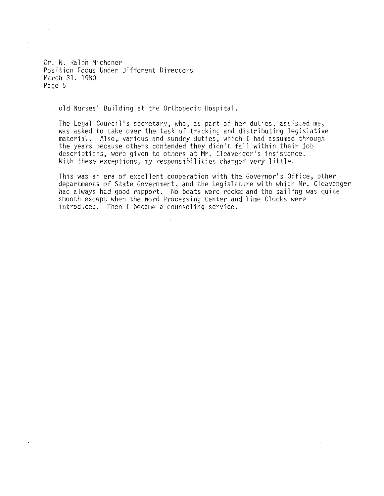Dr. W. Ralph Michener Position Focus Under Different Directors March 31, 1980 Page 5

old Nurses' Building at the Orthopedic Hospital.

The Legal Council's secretary, who, as part of her duties, assisted me, was asked to take over the task of tracking and distributing legislative material. Also, various and sundry duties, which I had assumed through the years because others contended they didn't fall within their job descriptions, were given to others at Mr. Cleavenger's insistence. With these exceptions, my responsibilities changed very little.

This was an era of excellent cooperation with the Governor's Office, other departments of State Government, and the Legislature with which Mr. Cleavenger had always had good rapport. No boats were rocked and the sailing was quite smooth except when the Word Processing Center and Time Clocks were introduced. Then I became a counseling service.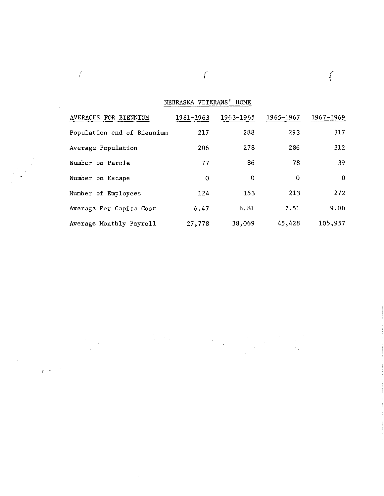NEBRASKA VETERANS' HOME

 $\sim 10$ 

 $($ 

 $\frac{1}{2}$ 

| AVERAGES FOR BIENNIUM      | 1961-1963 | 1963-1965 | 1965-1967 | 1967-1969 |
|----------------------------|-----------|-----------|-----------|-----------|
| Population end of Biennium | 217       | 288       | 293       | 317       |
| Average Population         | 206       | 278       | 286       | 312       |
| Number on Parole           | 77        | 86        | 78        | -39       |
| Number on Escape           | $\Omega$  | $\Omega$  | $\Omega$  | 0         |
| Number of Employees        | 124       | 153       | 213       | 272       |
| Average Per Capita Cost    | 6.47      | 6.81      | 7.51      | 9.00      |
| Average Monthly Payroll    | 27,778    | 38,069    | 45,428    | 105,957   |

 $\sim$   $\sim$  $\label{eq:2.1} \frac{1}{\sqrt{2}}\left(\frac{1}{\sqrt{2}}\right)^{2} \left(\frac{1}{\sqrt{2}}\right)^{2} \left(\frac{1}{\sqrt{2}}\right)^{2} \left(\frac{1}{\sqrt{2}}\right)^{2} \left(\frac{1}{\sqrt{2}}\right)^{2} \left(\frac{1}{\sqrt{2}}\right)^{2} \left(\frac{1}{\sqrt{2}}\right)^{2} \left(\frac{1}{\sqrt{2}}\right)^{2} \left(\frac{1}{\sqrt{2}}\right)^{2} \left(\frac{1}{\sqrt{2}}\right)^{2} \left(\frac{1}{\sqrt{2}}\right)^{2} \left(\$ 

البرينج

 $\sim$ 

 $\int$ 

 $\overline{\phantom{a}}$ 

 $\sim$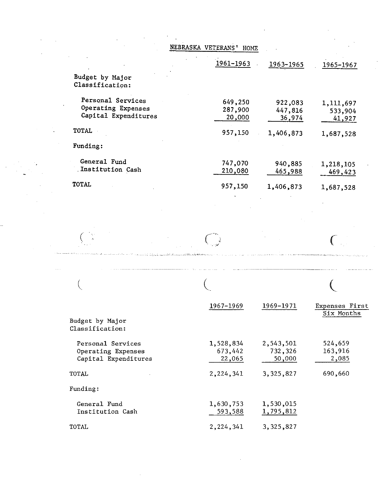|                                            | 1961-1963         | 1963-1965 | 1965-1967 |
|--------------------------------------------|-------------------|-----------|-----------|
| Budget by Major<br>Classification:         |                   |           |           |
| Personal Services                          | 649,250           | 922,083   | 1,111,697 |
| Operating Expenses<br>Capital Expenditures | 287,900<br>20,000 | 447,816   | 533,904   |
|                                            |                   | 36,974    | 41,927    |
| <b>TOTAL</b>                               | 957,150           | 1,406,873 | 1,687,528 |
| Funding:                                   |                   |           |           |
| General Fund                               | 747,070           | 940,885   | 1,218,105 |
| Institution Cash                           | 210,080           | 465,988   | 469,423   |
| <b>TOTAL</b>                               | 957,150           | 1,406,873 | 1,687,528 |
|                                            |                   |           |           |
|                                            |                   |           |           |
|                                            |                   |           |           |

| Budget by Major<br>Classification:                              | 1967-1969                      | 1969-1971                      | Expenses First<br>Six Months |
|-----------------------------------------------------------------|--------------------------------|--------------------------------|------------------------------|
| Personal Services<br>Operating Expenses<br>Capital Expenditures | 1,528,834<br>673,442<br>22,065 | 2,543,501<br>732,326<br>50,000 | 524,659<br>163,916<br>2,085  |
| TOTAL                                                           | 2,224,341                      | 3,325,827                      | 690,660                      |
| Funding:                                                        |                                |                                |                              |
| General Fund<br>Institution Cash                                | 1,630,753<br>593,588           | 1,530,015<br>1,795,812         |                              |
| TOTAL                                                           | 2,224,341                      | 3,325,827                      |                              |

 $\mathcal{L}^{\text{max}}_{\text{max}}$  and  $\mathcal{L}^{\text{max}}_{\text{max}}$ 

 $\sim 10^{-11}$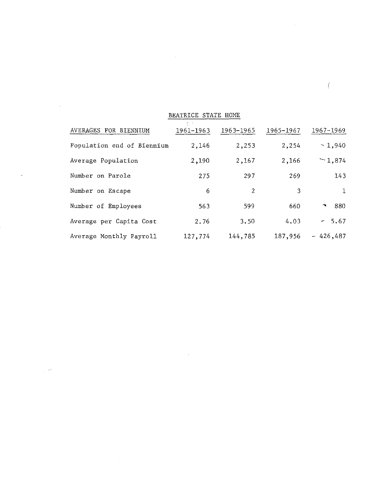| BEATRICE STATE HOME        |           |                |           |                      |  |
|----------------------------|-----------|----------------|-----------|----------------------|--|
| AVERAGES FOR BIENNIUM      | 1961-1963 | 1963–1965      | 1965-1967 | 1967-1969            |  |
| Population end of Biennium | 2,146     | 2,253          | 2,254     | $-1,940$             |  |
| Average Population         | 2,190     | 2,167          | 2,166     | $-1.874$             |  |
| Number on Parole           | 275       | 297            | 269       | 143                  |  |
| Number on Escape           | 6         | $\overline{2}$ | 3         | 1                    |  |
| Number of Employees        | 563       | 599            | 660       | -880<br>$\mathbf{r}$ |  |
| Average per Capita Cost    | 2.76      | 3.50           | 4.03      | $-5.67$              |  |
| Average Monthly Payroll    | 127,774   | 144,785        | 187,956   | $-426,487$           |  |

 $\label{eq:2.1} \frac{1}{2} \sum_{i=1}^n \frac{1}{2} \sum_{j=1}^n \frac{1}{2} \sum_{j=1}^n \frac{1}{2} \sum_{j=1}^n \frac{1}{2} \sum_{j=1}^n \frac{1}{2} \sum_{j=1}^n \frac{1}{2} \sum_{j=1}^n \frac{1}{2} \sum_{j=1}^n \frac{1}{2} \sum_{j=1}^n \frac{1}{2} \sum_{j=1}^n \frac{1}{2} \sum_{j=1}^n \frac{1}{2} \sum_{j=1}^n \frac{1}{2} \sum_{j=1}^n \frac{$ 

 $\mathcal{L}(\mathcal{L}(\mathcal{L}))$  and  $\mathcal{L}(\mathcal{L}(\mathcal{L}))$  . The contribution of  $\mathcal{L}(\mathcal{L})$ 

 $\label{eq:2.1} \frac{1}{\sqrt{2}}\left(\frac{1}{\sqrt{2}}\right)^{2} \left(\frac{1}{\sqrt{2}}\right)^{2} \left(\frac{1}{\sqrt{2}}\right)^{2} \left(\frac{1}{\sqrt{2}}\right)^{2} \left(\frac{1}{\sqrt{2}}\right)^{2} \left(\frac{1}{\sqrt{2}}\right)^{2} \left(\frac{1}{\sqrt{2}}\right)^{2} \left(\frac{1}{\sqrt{2}}\right)^{2} \left(\frac{1}{\sqrt{2}}\right)^{2} \left(\frac{1}{\sqrt{2}}\right)^{2} \left(\frac{1}{\sqrt{2}}\right)^{2} \left(\$ 

 $\label{eq:1} \frac{1}{\sqrt{2\pi}}\left(\frac{1}{\sqrt{2\pi}}\frac{\partial^2}{\partial x^2} + \frac{1}{\sqrt{2\pi}}\frac{\partial^2}{\partial x^2} + \frac{1}{\sqrt{2\pi}}\frac{\partial^2}{\partial x^2} + \frac{1}{\sqrt{2\pi}}\frac{\partial^2}{\partial x^2} + \frac{1}{\sqrt{2\pi}}\frac{\partial^2}{\partial x^2} + \frac{1}{\sqrt{2\pi}}\frac{\partial^2}{\partial x^2} + \frac{1}{\sqrt{2\pi}}\frac{\partial^2}{\partial x^2} + \frac{1}{\sqrt{2\pi}}\frac{\partial^$ 

 $\label{eq:2.1} \frac{1}{\sqrt{2}}\left(\frac{1}{\sqrt{2}}\right)^{2} \left(\frac{1}{\sqrt{2}}\right)^{2} \left(\frac{1}{\sqrt{2}}\right)^{2} \left(\frac{1}{\sqrt{2}}\right)^{2} \left(\frac{1}{\sqrt{2}}\right)^{2} \left(\frac{1}{\sqrt{2}}\right)^{2} \left(\frac{1}{\sqrt{2}}\right)^{2} \left(\frac{1}{\sqrt{2}}\right)^{2} \left(\frac{1}{\sqrt{2}}\right)^{2} \left(\frac{1}{\sqrt{2}}\right)^{2} \left(\frac{1}{\sqrt{2}}\right)^{2} \left(\$ 

 $\frac{1}{\sqrt{2}}$ 

 $\label{eq:2.1} \frac{1}{\sqrt{2}}\left(\frac{1}{\sqrt{2}}\right)^{2} \left(\frac{1}{\sqrt{2}}\right)^{2} \left(\frac{1}{\sqrt{2}}\right)^{2} \left(\frac{1}{\sqrt{2}}\right)^{2} \left(\frac{1}{\sqrt{2}}\right)^{2} \left(\frac{1}{\sqrt{2}}\right)^{2} \left(\frac{1}{\sqrt{2}}\right)^{2} \left(\frac{1}{\sqrt{2}}\right)^{2} \left(\frac{1}{\sqrt{2}}\right)^{2} \left(\frac{1}{\sqrt{2}}\right)^{2} \left(\frac{1}{\sqrt{2}}\right)^{2} \left(\$ 

 $\mathcal{L} = \mathcal{L}$